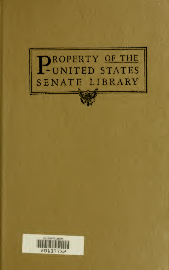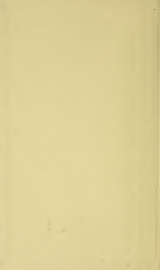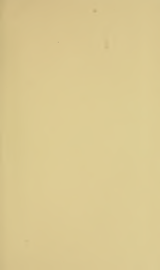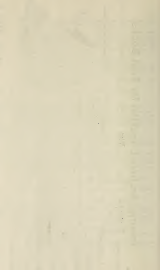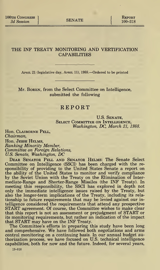# THE INF TREATY MONITORING AND VERTIFICATION CAPABILITIES

APRIL 21 (legislative day, APRIL 11), 1988.—Ordered to be printed

Mr. BOREN, from the Select Committee on Intelligence, submitted the following

# REPORT

U.S. SENATE, SELECT COMMITTEE ON INTELLIGENCE, Washington, DC, March 21, 1988.

Hon. Claiborne Pell, Chairman, Hon. Jesse Helms, Ranking Minority Member, Committee on Foreign Relations, U.S. Senate, Washington, DC

Dear Senator Pell and Senator Helms: The Senate Select Committee on Intelligence (SSCI) has been charged with the re sponsibility of providing to the United States Senate a report on the ability of the United States to monitor and verify compliance by the Soviet Union with the Treaty on the Elimination of Inter mediate-Range and Shorter-Range Missiles (the INF Treaty). In meeting this responsibility, the SSCI has explored in depth not only the immediate intelligence issues raised by the Treaty, but also the longer-term implications of the Treaty, including its rela tionship to future requirements that may be levied against our in telligence considered the requirements that attend any prospective START agreement. Of course, the Committee wishes to make clear that this report is not an assessment or prejudgment of START or its monitoring requirements, but rather an indication of the impact that START may have on the INF Treaty.

The Committee's efforts in preparing this study have been long and comprehensive. We have followed both negotiations and arms control monitoring on a continuing basis. In our annual budget authorization process, we have focused on U.S. technical intelligence capabilities, both for now and the future. Indeed, for several years,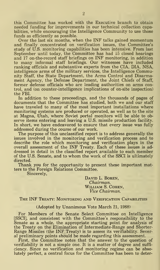this Committee has worked with the Executive branch to obtain needed funding for improvements in our technical collection capabilities, while encouraging the Intelligence Community to use those funds as efficiently as possible.

Over the last six months, when the INF talks gained momentum and finally concentrated on verification issues, the Committee's study of U.S. monitoring capabilities has been intensive. From last September until today, the Committee has had 15 closed hearings and 17 on-the-record staff briefings on INF monitoring, in addition to many informal staff briefings. Our witnesses have included ranking officials and substantive experts from the CIA, DIA, NSA, intelligence arms of the military services, the Intelligence Community Staff, the State Department, the Arms Control and Disarmament Agency, the Defense Department, the Joint Chiefs of Staff, former defense officials who are leading authorities on arms control, and (on counter-intelligence implications of on-site inspection) the FBI.

In addition to these proceedings, and the thousands of pages of documents that the Committee has studied, both we and our staff have traveled to many of the most important installations where monitoring systems are produced or operated, as well as to the site at Magna, Utah, where Soviet portal monitors will be able to ob serve items entering and leaving a U.S. missile production facility. In short, we have endeavored to ensure that every issue was fully addressed during the course of our work.

The purpose of this unclassified report is to address generally the issues involved in the monitoring and verification process and to describe the role which monitoring and verification plays in the overall assessment of the INF Treaty. Each of these issues is addressed in detail in the classified report available to each member of the U.S. Senate, and to whom the work of the SSCI is ultimately directed.

Thank you for the opportunity to present these important matters to the Foreign Relations Committee.

Sincerely,

David L. Boren, Chairman. William S. Cohen, Vice Chairman.

### The INF Treaty: Monitoring and Verification Capabilities

# (Adopted by Unanimous Vote March 21, 1988)

For Members of the Senate Select Committee on Intelligence [SSCI], and consistent with the Committee's responsibility to the Senate as a whole, the appropriate starting point for analysis of the Treaty on the Elimination of Intermediate-Range and Shorter-Range Missiles (the INF Treaty) is to assess its verifiability. Several preliminary points should be made regarding this assessment.

First, the Committee notes that the answer to the question of verifiability is not a simple one. It is a matter of degree and suffi ciency. Since no verification and monitoring regime can be absolutely perfect, a central focus for the Committee has been to deter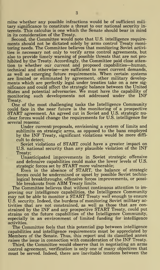mine whether any possible infractions would be of sufficient military significance to constitute a threat to our national security in terests. This calculus is one which the Senate should bear in mind in its consideration of the Treaty.

Second, the Committee would note that U.S. intelligence requirements should not be dictated solely by arms control Treaty monitoring needs. The Committee believes that monitoring Soviet activities is necessary not only to verify arms control agreements, but also to provide timely warning of possible threats that are not pro hibited by the Treaty. Accordingly, the Committee paid close atten- tion to whether our current and proposed capabilities—human, technical and otherwise—are sufficient to meet current demands, as well as emerging future requirements. When certain systems are limited or eliminated by agreement, other military developments which are perfectly legal under treaties take on a new significance and could affect the strategic balance between the United States and potential adversaries. We must have the capability of monitoring such developments not addressed under the INF Treaty.

One of the most challenging tasks the Intelligence Community could face in the near future is the monitoring of a prospective START agreement. An agreed cut in Soviet and U.S. strategic nuclear forces would change the requirements for U.S. intelligence for several reasons:

Under current proposals, envisioning a system of limits and sublimits on strategic arms, as opposed to the bans employed by the INF Treaty, significant violations would be more diffi cult to detect;

Soviet violations of START could have a greater impact on U.S. national security than any plausible violation of the INF Treaty;

Unanticipated improvements in Soviet strategic offensive and defensive capabilities could make the lower levels of U.S. strategic forces set by START more vulnerable;

Even in the absence of START, the balance of strategic forces could be undermined or upset by possible Soviet technological breakthroughs, offensive forces improvements, or possible breakouts from ABM Treaty limits.

The Committee believes that without continuous attention to improving our intelligence capabilities, the Intelligence Community may not be able to monitor <sup>a</sup> START Treaty well enough to ensure U.S. security. Indeed, the burdens of monitoring Soviet military activities that are not constrained, as well as those that are con strained by the INF and any prospective START Treaty, could put strains on the future capabilities of the Intelligence Community, especially in an environment of limited funding for intelligence activities.

The Committee feels that this potential gap between intelligence capabilities and intelligence requirements must be appreciated by Members of the Senate. Thus, this report and its classified annex raises the issue in connection with consideration of the INF Treaty.

Third, the Committee would observe that in negotiating an arms control agreement, verification is only one of many objectives that must be served. Indeed, there are inevitable tensions between the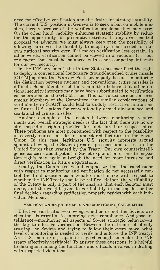need for effective verification and the desire for strategic stability. The current U.S. position in Geneva is to seek a ban on mobile missiles, largely because of the verification problems they may pose. On the other hand, mobility enhances strategic stability by reducing the opportunity for preemptive strikes. In any arms control proposal we advance, we must always keep open the possibility of allowing ourselves the flexibility to adopt systems needed for our own national security even if it makes verification less certain. In other words, verification cannot be viewed in a vacuum. It is but one factor that must be balanced with other competing interests for our own security.

In the INF agreement, the United States has sacrificed the right to deploy a conventional long-range ground-launched cruise missile [GLCM] against the Warsaw Pact, principally because monitoring the distinction between nuclear and conventional cruise missiles is difficult. Some Members of the Committee believe that other national security interests may have been subordinated to verification considerations on the GLCM issue. This has raised serious concerns among Members of the Committee that similar considerations of verifiability in START could lead to unduly restrictive limitations on future U.S. options for conventionally armed air-launched and sea-launched cruise missiles.

Another example of the tension between monitoring requirements and overall strategic needs is the fact that there are no onsite inspection rights provided for undeclared or suspect sites. These problems are most pronounced with respect to the possibility of covertly stored missiles at undeclared facilities in the Soviet Union. In this case, legitimate U.S. security interests argued against allowing the Soviets greater presence and access in the United States than granted by the Treaty. Our own counterintelligence concerns about potential Soviet exploitation of on-site inspection rights may again outweigh the need for more intrusive and direct verification in future negotiations.

Finally, the Committee would emphasize that the conclusions with respect to monitoring and verification do not necessarily control the final decision each Senator must make with respect to whether the INF Treaty should be ratified. Rather, the verifiability of the Treaty is only a part of the analysis that each Senator must make, and the weight given to verifiability in making his or her final decision regarding ratification properly resides with each indi vidual Member.

#### VERIFICATION REQUIREMENTS AND MONITORING CAPABILITIES

Effective verification—knowing whether or not the Soviets are cheating—is essential to enforcing strict compliance. And good in-<br>telligence—monitoring all aspects of Soviet strategic behavior—is the key to effective verification. Between the extremes of blindly trusting the Soviets and trying to follow their every move, what level of monitoring is needed to verify and enforce the INF treaty? Are U.S. monitoring capabilities good enough to make the INF treaty effectively verifiable? To answer these questions, it is helpful to distinguish among the functions and officials involved in dealing with suspected violations.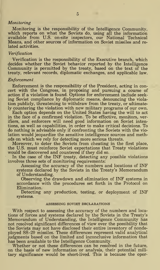# Monitoring

Monitoring is the responsibility of the Intelligence Community, which reports on what the Soviets do, using all the information available from U.S. on-site inspectors, our National Technical Means, and other sources of information on Soviet missiles and re lated activities.

#### Verification

Verification is the responsibility of the Executive branch, which decides whether the Soviet behavior reported by the Intelligence Community is permitted by the treaty, based on the text of the treaty, relevant records, diplomatic exchanges, and applicable law.

# Enforcement

Enforcement is the responsibility of the President, acting in concert with the Congress, in proposing and pursuing a course of action if a violation is found. Options for enforcement include seeking Soviet compliance by diplomatic means, denouncing the violation publicly, threatening to withdraw from the treaty, or ultimately countering the violation with new military programs of our own.

Each option depends on the United States having the will to act in the face of a confirmed violation. To be effective, monitors, verifiers, and enforcers will need good information on Soviet intentions, as well as capabilities, in order to make critical decisions. To do nothing is advisable only if confronting the Soviets with the violation would jeopardize the sensitive intelligence sources and methods on which we rely for detecting more serious threats.

Moreover, to deter the Soviets from cheating in the first place, the U.S. must reinforce Soviet expectations that Treaty violations would be discovered and countered if they did so.

In the case of the INF treaty, detecting any possible violations involves three sets of monitoring requirements:

Assessing the accuracy of the numbers and locations of INF systems declared by the Soviets in the Treaty's Memorandum of Understanding.

Observing the drawdown and elimination of INF systems in accordance with the procedures set forth in the Protocol on Elimination.

Detecting any production, testing, or deployment of INF systems.

# ASSESSING SOVIET DECLARATIONS

With respect to assessing the accuracy of the numbers and loca tions of forces and systems declared by the Soviets in the Treaty's Memorandum of Understanding, the Intelligence Community has not resolved significant differences of view over the possibility that the Soviets may not have disclosed their entire inventory of nondeployed SS-20 missiles. These differences represent valid analytical judgments based on the limited and inconclusive information that has been available to the Intelligence Community.

Whether or not these differences can be resolved in the future, on the basis of new information or analysis, their potential military significance would be short-lived. This is because the oper-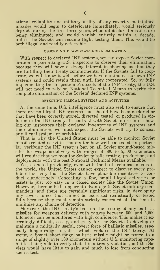ational reliability and military utility of any covertly maintained missiles would begin to deteriorate immediately; would seriously degrade during the first three years, when all declared missiles are being eliminated; and would vanish entirely within a decade, unless the Soviets can resume flight testing them. This would be both illegal and readily detectable.

#### OBSERVING DRAWDOWN AND ELIMINATION

With respect to declared INF systems, we can expect Soviet coop eration in permitting U.S. inspectors to observe their elimination, because they will have a strong interest in showing us that they are fulfilling their treaty commitments. If the Soviets fail to cooperate, we will know it well before we have eliminated our own INF systems and could retain them until they cooperated. So, by fully implementing the Inspection Protocols of the INF Treaty, the U.S. will not need to rely on National Technical Means to verify the complete elimination of the Soviets' declared INF systems.

### DETECTING ILLEGAL SYSTEMS AND ACTIVITIES

At the same time, U.S. intelligence must also seek to ensure that there are no illegal INF systems that should have been declared or that have been covertly stored, diverted, tested, or produced in vio lation of the INF treaty. In contrast with Soviet interests in showing our inspectors their declared inventories of INF systems and their elimination, we must expect the Soviets will try to conceal any illegal systems or activities.

That is why the United States must be able to monitor Soviet missile-related activities, no matter how well concealed. In particular, verifying the INF treaty's ban on all Soviet ground-based missiles for weapons-delivery with ranges of 500 to 5,500 kilometers will require that we monitor Soviet missile testing, production, and deployments with the best National Technical Means available.

Yet, as noted previously, even with the best technical means in the world, the United States cannot expect to discover every pro hibited activity that the Soviets have plausible incentives to con duct clandestinely. Concealing a few, small illegal activities or assets is just too easy in a closed society like the Soviet Union. However, there is little apparent advantage to Soviet military com manders, and there are certainly significant risks, in developing any covert forces that cannot be exercised realistically or tested fully because they must remain strictly concealed all the time to minimize any chance of detection.

Moreover, the INF treaty's ban on the testing of any ballistic missiles for weapons delivery with ranges between 500 and 5,500 kilometer can be monitored with high confidence. This makes it ex ceedingly difficult, costly, and risky for the Soviets to develop or maintain a militarily useful, covert force of ballistic missiles, especially longer-range missiles, which violates the INF treaty. At worst, a Soviet short-range ballistic missile might be tested to a range of slightly over 500 kilometers without U.S. monitoring capabilities being able to verify that it is a treaty violation, but the Soviets would have little to gain and much to lose from conducting such a test.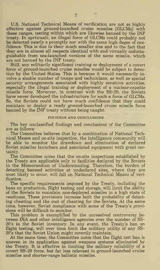U.S. National Technical Means of verification are not as highly effective against ground-launched cruise missiles [GLCMs] with these ranges, testing within which are likewise banned by the INF treaty. In aprticualr, an illegal force of GLCMs could probably not be detected nearly <sup>s</sup> promptly nor with the same high degee of confidence. This is due to their much smaller size and to the fact that they are in almost all respects identical with and virtually indistinguishable from sea-launched versions of the same missile, which are not banned by the INF treaty.

Still, any militarily significant training or deployment of a covert force of ground-launched cruise missiles would be subject to detection by the United States. This is because it would necessarily in volve a sizable number of troops and technicians, as well as special security arrangements associated with highly sensitive activities, especially the illegal training or deployment of a nuclear-capable missile force. Moreover, in contrast with the SS-20, the Soviets have never developed the infrastructure for such a force of GLCMs. So, the Soviets could not have much confidence that they could maintain or deploy a ready ground-launched cruise missile force banned by the INF treaty without being caught.

# FINDINGS AND CONCLUSIONS

The key unclassified findings and conclusions of the Committee are as follows:

The Committee believes that by a combination of National Technical Means and on-site inspection, the intelligence community will be able to monitor the drawdown and elimination of declared Soviet missiles launchers and associated equipment with great cer tainty.

The Committee notes that the on-site inspections established by the Treaty are applicable only to facilities declared by the Soviets in the Memorandum of Understanding. Therefore, the burden of detecting banned activities at undeclared sites, where they are most likely to occur, will fall on National Technical Means of verification.

The specific requirements imposed by the Treaty, including the bans on production, flight testing and storage, will limit the ability of the Soviets to maintain non-deployed missiles in a high state of readiness. These provisions increase both the probability of detecting cheating and the cost of cheating for the Soviets. At the same time, however, Soviet compliance with some of the Treaty's provisions will be difficult to monitor.

This problem is exemplified by the unresolved controversy between DIA and other intelligence agencies over the number of SS-20's in the Soviet inventory. In any event, the Treaty's ban on flight testing, will over time limit the military utility of any SS-20's that the Soviet Union might covertly maintain.

At the same time, the Committee notes that the flight test ban is uneven in its application against weapons systems eliminated by the Treaty. It is effective in limiting the military reliability of a covert SS-20 force, but far less relevant to ground-launched cruise missiles and shorter-range ballistic missiles.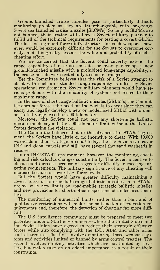Ground-launched cruise missiles pose a particularly difficult monitoring problem as they are interchangeable with long-range Soviet sea launched cruise missiles [SLCM's]. So long as SLCMs are not banned, their testing will allow a Soviet military planner to fulfill all of the technical requirements for testing a covert GLCM. The lack of a ground forces infrastructure for such weapons, however, would be extremely difficult for the Soviets to overcome covertly, and this greatly lessens the value and probability of such a

cheating effort. We are concerned that the Soviets could covertly extend the range capability of a cruise missile, or overtly develop a new ground-launched missile with a prohibited long-range capability, if the cruise missile were tested only to shorter ranges.

Yet the Committee believes that the risk of a Soviet attempt to cheat with such an extended range capability is offset by Soviet operational requirements. Soviet military planners would have se rious problems with the reliability of systems not tested to their maximum range.

In the case of short range ballistic missiles [SRBM's] the Committee does not foresee the need for the Soviets to cheat since they can easily and legally develop <sup>a</sup> new or modernized SRBM with <sup>a</sup> demonstrated range less than 500 kilometers.

Moreover, the Soviets could not test any short-range ballistic missile much beyond the 500-kilometer limit without the United States detecting the violation.

The Committee believes that in the absence of a START agreement, the Soviets have little or no incentive to cheat. With 10,000 warheads in their strategic arsenal today, the the Soviets can cover INF and global targets and still have several thousand warheads in reserve.

In an INF/START environment, however, the monitoring, cheating and risk calculus changes substantially. The Soveit incentive to cheat could increase because of a greater difficulty in meeting tar geting requirements. The military significance of any cheating will increase because of lower U.S. force levels.

But the Soviets would have greater difficulty maintaining a covert force of intermediate-range ballistic missiles in a START regime with new limits on road-mobile strategic ballistic missiles and new provisions for short-notice inspections of undeclared facilities.

The monitoring of numerical limits, rather than a ban, and of qualitiative restrictions will make the satisfaction of collection re quirements and, therefore, the detection of cheating far more diffi cult.

The U.S. intelligence community must be prepared to meet two priorities under <sup>a</sup> Start environment—where the United States and the Soviet Union have agreed to reduce their strategic offensive forces while also complying with the INF, ABM and other arms control treaties. The first involves monitoring those weapons sys tems and activities limited or banned by arms control treaties. The second involves military activities which are not limited by treaties, but which take on an added importance as a result of their constraints.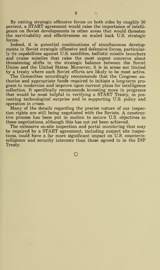By cutting strategic offensive forces on both sides by roughly 50 percent, a START agreement would raise the importance of intelli gence on Soviet developments in other areas that would threaten the survivability and effectiveness on scaled back U.S. strategic forces.

Indeed, it is potential combinations of simultaneous developments in Soviet strategic offensive and defensive forces, particularly its capabilities against U.S. satellites, ballistic missile launchers and cruise missiles that raise the most urgent concerns about threatening shifts in the strategic balance between the Soviet Union and the United States. Moreover, it is in areas not limited by a treaty where such Soviet efforts are likely to be most active.

The Committee accordingly recommends that the Congress authorize and appropriate funds required to initiate a long-term pro gram to modernize and improve upon current plans for intelligence collection. It specifically recommends investing more in programs that would be most helpful in verifying a START Treaty, in pre venting technological surprise and in supporting U.S. policy and operation in crises.

Many of the details regarding the precise nature of our inspection rights are still being negotiated with the Soviets. A constructive process has been put in motion to secure U.S. objectives in these negotiations, although this has not yet been achieved.

The extensive on-site inspection and portal monitoring that may be required by a START agreement, including suspect site inspections, could have a far more significant impact on U.S. counterintelligence and security interests than those agreed to in the INF Treaty.

O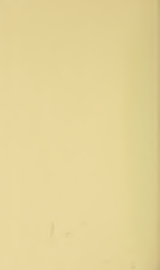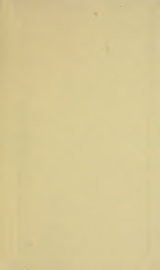